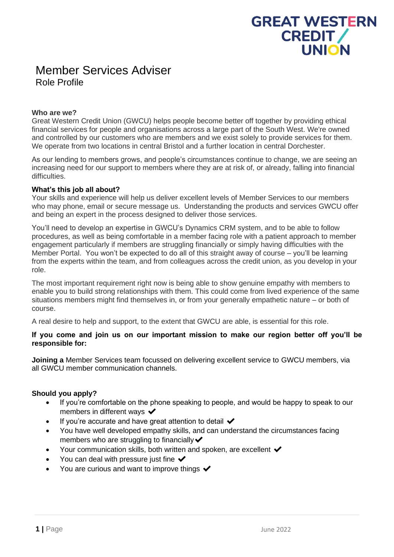# **GREAT WESTERN CREDIT/ UNION**

## Member Services Adviser Role Profile

### **Who are we?**

Great Western Credit Union (GWCU) helps people become better off together by providing ethical financial services for people and organisations across a large part of the South West. We're owned and controlled by our customers who are members and we exist solely to provide services for them. We operate from two locations in central Bristol and a further location in central Dorchester.

As our lending to members grows, and people's circumstances continue to change, we are seeing an increasing need for our support to members where they are at risk of, or already, falling into financial difficulties.

### **What's this job all about?**

Your skills and experience will help us deliver excellent levels of Member Services to our members who may phone, email or secure message us. Understanding the products and services GWCU offer and being an expert in the process designed to deliver those services.

You'll need to develop an expertise in GWCU's Dynamics CRM system, and to be able to follow procedures, as well as being comfortable in a member facing role with a patient approach to member engagement particularly if members are struggling financially or simply having difficulties with the Member Portal. You won't be expected to do all of this straight away of course – you'll be learning from the experts within the team, and from colleagues across the credit union, as you develop in your role.

The most important requirement right now is being able to show genuine empathy with members to enable you to build strong relationships with them. This could come from lived experience of the same situations members might find themselves in, or from your generally empathetic nature – or both of course.

A real desire to help and support, to the extent that GWCU are able, is essential for this role.

### **If you come and join us on our important mission to make our region better off you'll be responsible for:**

**Joining a** Member Services team focussed on delivering excellent service to GWCU members, via all GWCU member communication channels.

### **Should you apply?**

- If you're comfortable on the phone speaking to people, and would be happy to speak to our members in different ways  $\checkmark$
- If you're accurate and have great attention to detail  $\blacktriangleright$
- You have well developed empathy skills, and can understand the circumstances facing members who are struggling to financially  $\checkmark$
- Your communication skills, both written and spoken, are excellent  $\checkmark$
- You can deal with pressure just fine  $\checkmark$
- You are curious and want to improve things  $\blacktriangleright$